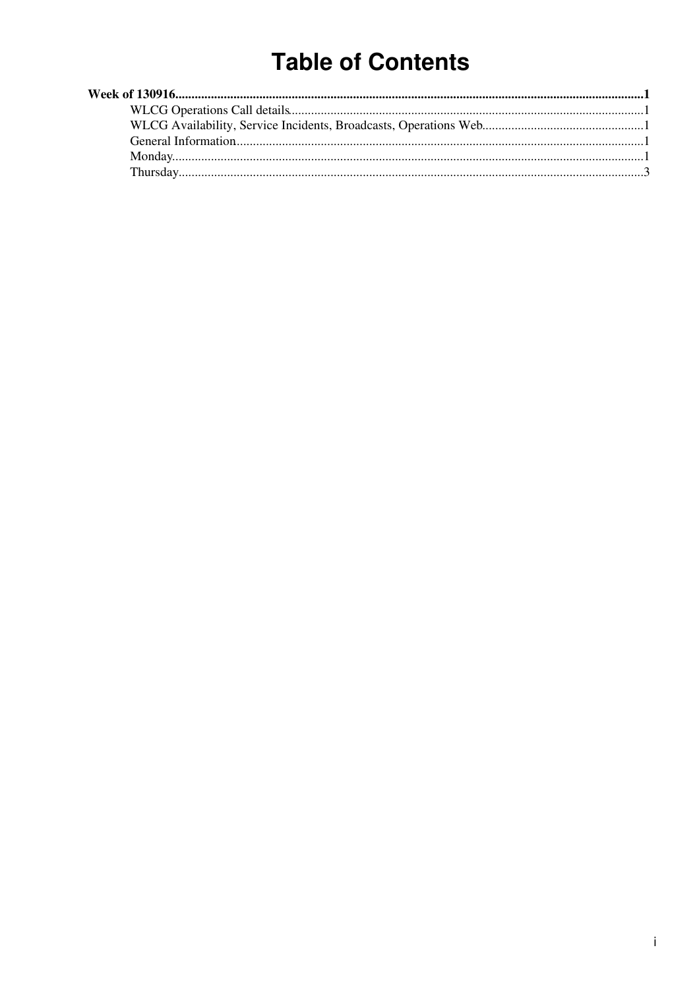# **Table of Contents**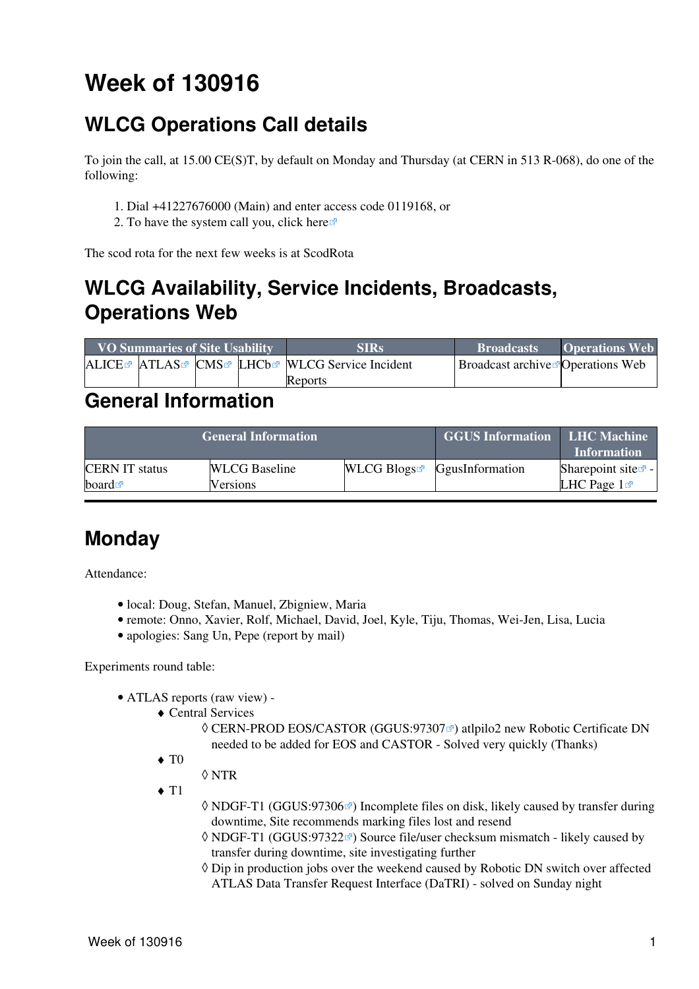# <span id="page-1-0"></span>**Week of 130916**

# <span id="page-1-1"></span>**WLCG Operations Call details**

To join the call, at 15.00 CE(S)T, by default on Monday and Thursday (at CERN in 513 R-068), do one of the following:

- 1. Dial +41227676000 (Main) and enter access code 0119168, or
- 2. To have the system call you, click [here](https://audioconf.cern.ch/call/0119168)

The scod rota for the next few weeks is at [ScodRota](https://twiki.cern.ch/twiki/bin/view/LCG/ScodRota)

# <span id="page-1-2"></span>**WLCG Availability, Service Incidents, Broadcasts, Operations Web**

| <b>VO Summaries of Site Usability</b> |  |  | <b>SIRs</b>                                    | <b>Broadcasts</b>                                | <b>Operations Web</b> |
|---------------------------------------|--|--|------------------------------------------------|--------------------------------------------------|-----------------------|
|                                       |  |  | ALICE™ ATLAS™ CMS™ LHCb™ WLCG Service Incident | <b>Broadcast archive <i>P</i> Operations</b> Web |                       |
|                                       |  |  | Reports                                        |                                                  |                       |

### <span id="page-1-3"></span>**General Information**

|                       |                      | <b>GGUS Information LHC Machine</b> | <b>Information</b>                        |                                |
|-----------------------|----------------------|-------------------------------------|-------------------------------------------|--------------------------------|
| <b>CERN IT status</b> | <b>WLCG</b> Baseline |                                     | $WLCG$ Blogs <sup>R</sup> GgusInformation | Sharepoint site $\mathbb{F}$ - |
| board $\blacksquare$  | Versions             |                                     |                                           | LHC Page $1\blacksquare$       |

### <span id="page-1-4"></span>**Monday**

Attendance:

- local: Doug, Stefan, Manuel, Zbigniew, Maria
- remote: Onno, Xavier, Rolf, Michael, David, Joel, Kyle, Tiju, Thomas, Wei-Jen, Lisa, Lucia
- apologies: Sang Un, Pepe (report by mail)

Experiments round table:

- ATLAS [reports](https://twiki.cern.ch/twiki/bin/view/Atlas/ADCOperationsDailyReports2013) [\(raw view\)](https://twiki.cern.ch/twiki/bin/view/Atlas/ADCOperationsDailyReports2013?raw=on) •
	- Central Services ♦
		- © CERN-PROD EOS/CASTOR ([GGUS:97307](https://ggus.eu/ws/ticket_info.php?ticket=97307) ø) atlpilo2 new Robotic Certificate DN needed to be added for EOS and CASTOR - Solved very quickly (Thanks)
	- $\blacklozenge$  T<sub>0</sub>
		- ◊ NTR
	- $\triangleleft$  T<sub>1</sub>
- ◊ NDGF-T1 [\(GGUS:97306](https://ggus.eu/ws/ticket_info.php?ticket=97306)☞) Incomplete files on disk, likely caused by transfer during downtime, Site recommends marking files lost and resend
- ◊ NDGF-T1 [\(GGUS:97322](https://ggus.eu/ws/ticket_info.php?ticket=97322)☞) Source file/user checksum mismatch likely caused by transfer during downtime, site investigating further
- Dip in production jobs over the weekend caused by Robotic DN switch over affected ◊ ATLAS Data Transfer Request Interface [\(DaTRI\)](https://twiki.cern.ch/twiki/bin/edit/LCG/DaTRI?topicparent=LCG.WLCGDailyMeetingsWeek130916;nowysiwyg=1) - solved on Sunday night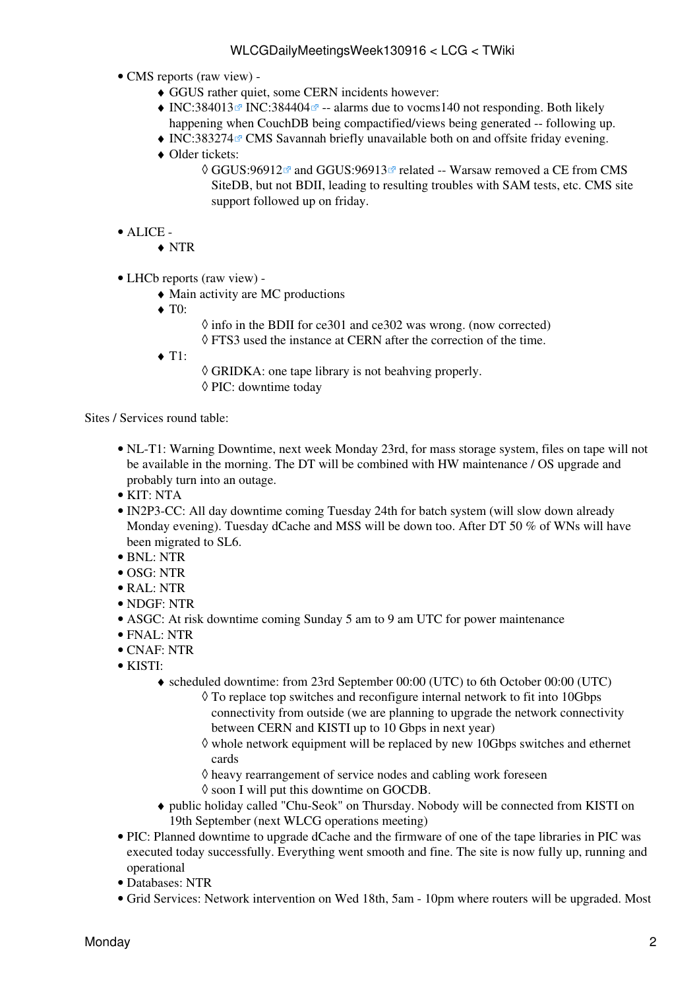- CMS [reports](https://twiki.cern.ch/twiki/bin/view/CMS/FacOps_WLCGdailyreports) ([raw view\)](https://twiki.cern.ch/twiki/bin/view/CMS/FacOps_WLCGdailyreports?raw=on) •
	- ♦ GGUS rather quiet, some CERN incidents however:
	- $\blacklozenge$  [INC:384013](https://cern.service-now.com/service-portal?id=ticket&n=INC384013)<sup> $\textdegree$ </sup> INC:384404 $\textdegree$  -- alarms due to vocms140 not responding. Both likely happening when [CouchDB](https://twiki.cern.ch/twiki/bin/edit/LCG/CouchDB?topicparent=LCG.WLCGDailyMeetingsWeek130916;nowysiwyg=1) being compactified/views being generated -- following up.
	- $\triangleleft$  [INC:383274](https://cern.service-now.com/service-portal?id=ticket&n=INC383274) $\textdegree$  CMS Savannah briefly unavailable both on and offsite friday evening.
	- Older tickets: ♦
		- ◊ GGUS:96912☞ and [GGUS:96913](https://ggus.eu/ws/ticket_info.php?ticket=96913)☞ related -- Warsaw removed a CE from CMS [SiteDB](https://twiki.cern.ch/twiki/bin/edit/LCG/SiteDB?topicparent=LCG.WLCGDailyMeetingsWeek130916;nowysiwyg=1), but not BDII, leading to resulting troubles with SAM tests, etc. CMS site support followed up on friday.
- ALICE •
	- ♦ NTR
- LHCb [reports](https://twiki.cern.ch/twiki/bin/view/LHCb/ProductionOperationsWLCGdailyReports) [\(raw view\)](https://twiki.cern.ch/twiki/bin/view/LHCb/ProductionOperationsWLCGdailyReports?raw=on) •
	- ♦ Main activity are MC productions
	- ◆ T<sub>0</sub>:
- $\Diamond$  info in the BDII for ce301 and ce302 was wrong. (now corrected) ◊ FTS3 used the instance at CERN after the correction of the time.
- $\triangleleft$  T1:
- ◊ GRIDKA: one tape library is not beahving properly.
- ◊ PIC: downtime today

Sites / Services round table:

- NL-T1: Warning Downtime, next week Monday 23rd, for mass storage system, files on tape will not be available in the morning. The DT will be combined with HW maintenance / OS upgrade and probably turn into an outage.
- KIT: NTA
- [IN2P3-](https://twiki.cern.ch/twiki/bin/view/LCG/IN2P3)CC: All day downtime coming Tuesday 24th for batch system (will slow down already Monday evening). Tuesday dCache and MSS will be down too. After DT 50 % of WNs will have been migrated to SL6.
- BNL: NTR
- OSG: NTR
- [RAL](https://twiki.cern.ch/twiki/bin/view/LCG/RAL): NTR
- NDGF: NTR
- ASGC: At risk downtime coming Sunday 5 am to 9 am UTC for power maintenance
- FNAL: NTR
- CNAF: NTR
- KISTI:
	- scheduled downtime: from 23rd September 00:00 (UTC) to 6th October 00:00 (UTC) ♦
		- To replace top switches and reconfigure internal network to fit into 10Gbps ◊ connectivity from outside (we are planning to upgrade the network connectivity between CERN and KISTI up to 10 Gbps in next year)
			- ◊ whole network equipment will be replaced by new 10Gbps switches and ethernet cards
			- $\Diamond$  heavy rearrangement of service nodes and cabling work foreseen
			- ◊ soon I will put this downtime on GOCDB.
	- public holiday called "Chu-Seok" on Thursday. Nobody will be connected from KISTI on ♦ 19th September (next WLCG operations meeting)
- PIC: Planned downtime to upgrade dCache and the firmware of one of the tape libraries in PIC was executed today successfully. Everything went smooth and fine. The site is now fully up, running and operational
- Databases: NTR
- Grid Services: Network intervention on Wed 18th, 5am 10pm where routers will be upgraded. Most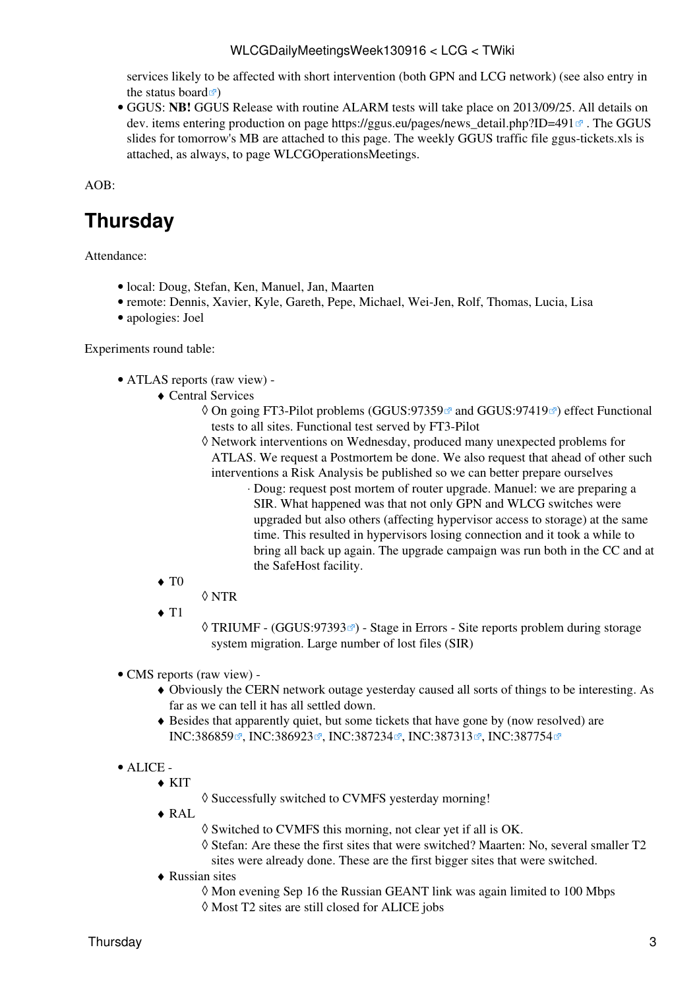services likely to be affected with short intervention (both GPN and LCG network) (see also entry in the [status board](http://itssb.web.cern.ch/planned-intervention/computer-centre-router-upgrade-gpnlcg/18-09-2013)  $\vec{r}$ 

GGUS: **NB!** GGUS Release with routine ALARM tests will take place on 2013/09/25. All details on • dev. items entering production on page [https://ggus.eu/pages/news\\_detail.php?ID=491](https://ggus.eu/pages/news_detail.php?ID=491) $\textdegree$ . The GGUS slides for tomorrow's MB are attached to this page. The weekly GGUS traffic file ggus-tickets.xls is attached, as always, to page [WLCGOperationsMeetings](https://twiki.cern.ch/twiki/bin/view/LCG/WLCGOperationsMeetings).

AOB:

# <span id="page-3-0"></span>**Thursday**

Attendance:

- local: Doug, Stefan, Ken, Manuel, Jan, Maarten
- remote: Dennis, Xavier, Kyle, Gareth, Pepe, Michael, Wei-Jen, Rolf, Thomas, Lucia, Lisa
- apologies: Joel

Experiments round table:

- ATLAS [reports](https://twiki.cern.ch/twiki/bin/view/Atlas/ADCOperationsDailyReports2013) [\(raw view\)](https://twiki.cern.ch/twiki/bin/view/Atlas/ADCOperationsDailyReports2013?raw=on) •
	- Central Services ♦
		- ◊ On going FT3-Pilot problems ([GGUS:97359](https://ggus.eu/ws/ticket_info.php?ticket=97359) and [GGUS:97419](https://ggus.eu/ws/ticket_info.php?ticket=97419) am effect Functional tests to all sites. Functional test served by FT3-Pilot
		- Network interventions on Wednesday, produced many unexpected problems for ◊ ATLAS. We request a Postmortem be done. We also request that ahead of other such interventions a Risk Analysis be published so we can better prepare ourselves
			- Doug: request post mortem of router upgrade. Manuel: we are preparing a ⋅ SIR. What happened was that not only GPN and WLCG switches were upgraded but also others (affecting hypervisor access to storage) at the same time. This resulted in hypervisors losing connection and it took a while to bring all back up again. The upgrade campaign was run both in the CC and at the SafeHost facility.
	- $\blacklozenge$  T<sub>0</sub>
		- ◊ NTR
	- $\blacklozenge$  T<sub>1</sub>
- ◊ TRIUMF [\(GGUS:97393](https://ggus.eu/ws/ticket_info.php?ticket=97393)☞) Stage in Errors Site reports problem during storage system migration. Large number of lost files [\(SIR](https://twiki.cern.ch/twiki/pub/LCG/WLCGServiceIncidents/Storage_incident_report_at_TRIUMF_Sep-16-2013.pdf))
- CMS [reports](https://twiki.cern.ch/twiki/bin/view/CMS/FacOps_WLCGdailyreports) ([raw view\)](https://twiki.cern.ch/twiki/bin/view/CMS/FacOps_WLCGdailyreports?raw=on) •
	- Obviously the CERN network outage yesterday caused all sorts of things to be interesting. As ♦ far as we can tell it has all settled down.
	- Besides that apparently quiet, but some tickets that have gone by (now resolved) are ♦ [INC:386859](https://cern.service-now.com/service-portal?id=ticket&n=INC386859) , [INC:386923](https://cern.service-now.com/service-portal?id=ticket&n=INC386923) , [INC:387234](https://cern.service-now.com/service-portal?id=ticket&n=INC387234) , [INC:387313](https://cern.service-now.com/service-portal?id=ticket&n=INC387313) , [INC:387754](https://cern.service-now.com/service-portal?id=ticket&n=INC387754) <sup>®</sup>
- ALICE •
	- KIT ♦
- ◊ Successfully switched to CVMFS yesterday morning!
- [RAL](https://twiki.cern.ch/twiki/bin/view/LCG/RAL) ♦
- ◊ Switched to CVMFS this morning, not clear yet if all is OK.
- Stefan: Are these the first sites that were switched? Maarten: No, several smaller T2 ◊ sites were already done. These are the first bigger sites that were switched.
- Russian sites ♦
	- ◊ Mon evening Sep 16 the Russian GEANT link was again limited to 100 Mbps
	- ◊ Most T2 sites are still closed for ALICE jobs